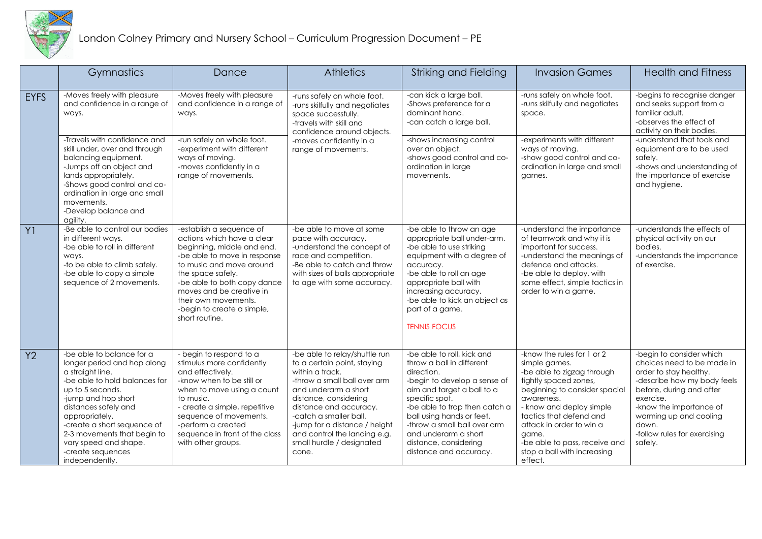

|                | Gymnastics                                                                                                                                                                                                                                                                                                                       | Dance                                                                                                                                                                                                                                                                                                    | <b>Athletics</b>                                                                                                                                                                                                                                                                                                            | Striking and Fielding                                                                                                                                                                                                                                                                                                          | <b>Invasion Games</b>                                                                                                                                                                                                                                                                                                    | <b>Health and Fitness</b>                                                                                                                                                                                                                                         |
|----------------|----------------------------------------------------------------------------------------------------------------------------------------------------------------------------------------------------------------------------------------------------------------------------------------------------------------------------------|----------------------------------------------------------------------------------------------------------------------------------------------------------------------------------------------------------------------------------------------------------------------------------------------------------|-----------------------------------------------------------------------------------------------------------------------------------------------------------------------------------------------------------------------------------------------------------------------------------------------------------------------------|--------------------------------------------------------------------------------------------------------------------------------------------------------------------------------------------------------------------------------------------------------------------------------------------------------------------------------|--------------------------------------------------------------------------------------------------------------------------------------------------------------------------------------------------------------------------------------------------------------------------------------------------------------------------|-------------------------------------------------------------------------------------------------------------------------------------------------------------------------------------------------------------------------------------------------------------------|
| <b>EYFS</b>    | -Moves freely with pleasure<br>and confidence in a range of<br>ways.                                                                                                                                                                                                                                                             | -Moves freely with pleasure<br>and confidence in a range of<br>ways.                                                                                                                                                                                                                                     | -runs safely on whole foot.<br>-runs skilfully and negotiates<br>space successfully.<br>-travels with skill and<br>confidence around objects.<br>-moves confidently in a<br>range of movements.                                                                                                                             | -can kick a large ball.<br>-Shows preference for a<br>dominant hand.<br>-can catch a large ball.                                                                                                                                                                                                                               | -runs safely on whole foot.<br>-runs skilfully and negotiates<br>space.                                                                                                                                                                                                                                                  | -begins to recognise danger<br>and seeks support from a<br>familiar adult.<br>-observes the effect of<br>activity on their bodies.                                                                                                                                |
|                | -Travels with confidence and<br>skill under, over and through<br>balancing equipment.<br>-Jumps off an object and<br>lands appropriately.<br>-Shows good control and co-<br>ordination in large and small<br>movements.<br>-Develop balance and<br>agility.                                                                      | -run safely on whole foot.<br>-experiment with different<br>ways of moving.<br>-moves confidently in a<br>range of movements.                                                                                                                                                                            |                                                                                                                                                                                                                                                                                                                             | -shows increasing control<br>over an object.<br>-shows good control and co-<br>ordination in large<br>movements.                                                                                                                                                                                                               | -experiments with different<br>ways of moving.<br>-show good control and co-<br>ordination in large and small<br>games.                                                                                                                                                                                                  | -understand that tools and<br>equipment are to be used<br>safely.<br>-shows and understanding of<br>the importance of exercise<br>and hygiene.                                                                                                                    |
| Y <sub>1</sub> | -Be able to control our bodies<br>in different ways.<br>-be able to roll in different<br>ways.<br>-to be able to climb safely.<br>-be able to copy a simple<br>sequence of 2 movements.                                                                                                                                          | -establish a sequence of<br>actions which have a clear<br>beginning, middle and end.<br>-be able to move in response<br>to music and move around<br>the space safely.<br>-be able to both copy dance<br>moves and be creative in<br>their own movements.<br>-begin to create a simple,<br>short routine. | -be able to move at some<br>pace with accuracy.<br>-understand the concept of<br>race and competition.<br>-Be able to catch and throw<br>with sizes of balls appropriate<br>to age with some accuracy.                                                                                                                      | -be able to throw an age<br>appropriate ball under-arm.<br>-be able to use striking<br>equipment with a degree of<br>accuracy.<br>-be able to roll an age<br>appropriate ball with<br>increasing accuracy.<br>-be able to kick an object as<br>part of a game.<br><b>TENNIS FOCUS</b>                                          | -understand the importance<br>of teamwork and why it is<br>important for success.<br>-understand the meanings of<br>defence and attacks.<br>-be able to deploy, with<br>some effect, simple tactics in<br>order to win a game.                                                                                           | -understands the effects of<br>physical activity on our<br>bodies.<br>-understands the importance<br>of exercise.                                                                                                                                                 |
| Y2             | -be able to balance for a<br>longer period and hop along<br>a straight line.<br>-be able to hold balances for<br>up to 5 seconds.<br>-jump and hop short<br>distances safely and<br>appropriately.<br>-create a short sequence of<br>2-3 movements that begin to<br>vary speed and shape.<br>-create sequences<br>independently. | - begin to respond to a<br>stimulus more confidently<br>and effectively.<br>-know when to be still or<br>when to move using a count<br>to music.<br>- create a simple, repetitive<br>sequence of movements.<br>-perform a created<br>sequence in front of the class<br>with other groups.                | -be able to relay/shuttle run<br>to a certain point, staying<br>within a track.<br>-throw a small ball over arm<br>and underarm a short<br>distance, considering<br>distance and accuracy.<br>-catch a smaller ball.<br>-jump for a distance / height<br>and control the landing e.g.<br>small hurdle / designated<br>cone. | -be able to roll, kick and<br>throw a ball in different<br>direction.<br>-begin to develop a sense of<br>aim and target a ball to a<br>specific spot.<br>-be able to trap then catch a<br>ball using hands or feet.<br>-throw a small ball over arm<br>and underarm a short<br>distance, considering<br>distance and accuracy. | -know the rules for 1 or 2<br>simple games.<br>-be able to zigzag through<br>tightly spaced zones,<br>beginning to consider spacial<br>awareness.<br>- know and deploy simple<br>tactics that defend and<br>attack in order to win a<br>game.<br>-be able to pass, receive and<br>stop a ball with increasing<br>effect. | -begin to consider which<br>choices need to be made in<br>order to stay healthy.<br>-describe how my body feels<br>before, during and after<br>exercise.<br>-know the importance of<br>warming up and cooling<br>down.<br>-follow rules for exercising<br>safely. |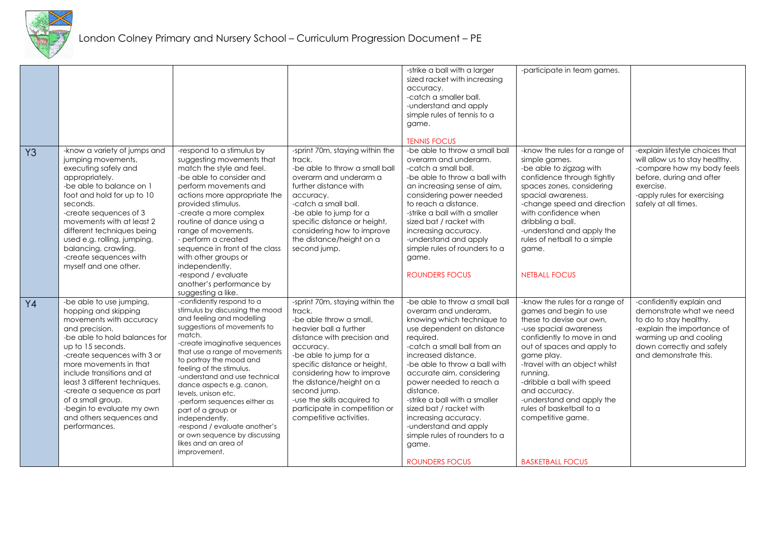

|                |                                                                                                                                                                                                                                                                                                                                                                                                          |                                                                                                                                                                                                                                                                                                                                                                                                                                                                                                                                    |                                                                                                                                                                                                                                                                                                                                                                           | -strike a ball with a larger<br>sized racket with increasing<br>accuracy.<br>-catch a smaller ball.<br>-understand and apply<br>simple rules of tennis to a<br>game.<br><b>TENNIS FOCUS</b>                                                                                                                                                                                                                                                                                 | -participate in team games.                                                                                                                                                                                                                                                                                                                                                                   |                                                                                                                                                                                                 |
|----------------|----------------------------------------------------------------------------------------------------------------------------------------------------------------------------------------------------------------------------------------------------------------------------------------------------------------------------------------------------------------------------------------------------------|------------------------------------------------------------------------------------------------------------------------------------------------------------------------------------------------------------------------------------------------------------------------------------------------------------------------------------------------------------------------------------------------------------------------------------------------------------------------------------------------------------------------------------|---------------------------------------------------------------------------------------------------------------------------------------------------------------------------------------------------------------------------------------------------------------------------------------------------------------------------------------------------------------------------|-----------------------------------------------------------------------------------------------------------------------------------------------------------------------------------------------------------------------------------------------------------------------------------------------------------------------------------------------------------------------------------------------------------------------------------------------------------------------------|-----------------------------------------------------------------------------------------------------------------------------------------------------------------------------------------------------------------------------------------------------------------------------------------------------------------------------------------------------------------------------------------------|-------------------------------------------------------------------------------------------------------------------------------------------------------------------------------------------------|
| Y <sub>3</sub> | -know a variety of jumps and<br>jumping movements,<br>executing safely and<br>appropriately.<br>-be able to balance on 1<br>foot and hold for up to 10<br>seconds.<br>-create sequences of 3<br>movements with at least 2<br>different techniques being<br>used e.g. rolling, jumping,<br>balancing, crawling.<br>-create sequences with<br>myself and one other.                                        | -respond to a stimulus by<br>suggesting movements that<br>match the style and feel.<br>-be able to consider and<br>perform movements and<br>actions more appropriate the<br>provided stimulus.<br>-create a more complex<br>routine of dance using a<br>range of movements.<br>- perform a created<br>sequence in front of the class<br>with other groups or<br>independently.<br>-respond / evaluate<br>another's performance by<br>suggesting a like.                                                                            | -sprint 70m, staying within the<br>track.<br>-be able to throw a small ball<br>overarm and underarm a<br>further distance with<br>accuracy.<br>-catch a small ball.<br>-be able to jump for a<br>specific distance or height,<br>considering how to improve<br>the distance/height on a<br>second jump.                                                                   | -be able to throw a small ball<br>overarm and underarm.<br>-catch a small ball.<br>-be able to throw a ball with<br>an increasing sense of aim,<br>considering power needed<br>to reach a distance.<br>-strike a ball with a smaller<br>sized bat / racket with<br>increasing accuracy.<br>-understand and apply<br>simple rules of rounders to a<br>game.<br><b>ROUNDERS FOCUS</b>                                                                                         | -know the rules for a range of<br>simple games.<br>-be able to zigzag with<br>confidence through tightly<br>spaces zones, considering<br>spacial awareness.<br>-change speed and direction<br>with confidence when<br>dribbling a ball.<br>-understand and apply the<br>rules of netball to a simple<br>game.<br><b>NETBALL FOCUS</b>                                                         | -explain lifestyle choices that<br>will allow us to stay healthy.<br>-compare how my body feels<br>before, during and after<br>exercise.<br>-apply rules for exercising<br>safely at all times. |
| Y4             | -be able to use jumping,<br>hopping and skipping<br>movements with accuracy<br>and precision.<br>-be able to hold balances for<br>up to 15 seconds.<br>-create sequences with 3 or<br>more movements in that<br>include transitions and at<br>least 3 different techniques.<br>-create a sequence as part<br>of a small group.<br>-begin to evaluate my own<br>and others sequences and<br>performances. | -confidently respond to a<br>stimulus by discussing the mood<br>and feeling and modelling<br>suggestions of movements to<br>match.<br>-create imaginative sequences<br>that use a range of movements<br>to portray the mood and<br>feeling of the stimulus.<br>-understand and use technical<br>dance aspects e.g. canon,<br>levels, unison etc.<br>-perform sequences either as<br>part of a group or<br>independently.<br>-respond / evaluate another's<br>or own sequence by discussing<br>likes and an area of<br>improvement. | -sprint 70m, staying within the<br>track.<br>-be able throw a small.<br>heavier ball a further<br>distance with precision and<br>accuracy.<br>-be able to jump for a<br>specific distance or height,<br>considering how to improve<br>the distance/height on a<br>second jump.<br>-use the skills acquired to<br>participate in competition or<br>competitive activities. | -be able to throw a small ball<br>overarm and underarm,<br>knowing which technique to<br>use dependent on distance<br>required.<br>-catch a small ball from an<br>increased distance.<br>-be able to throw a ball with<br>accurate aim, considering<br>power needed to reach a<br>distance.<br>-strike a ball with a smaller<br>sized bat / racket with<br>increasing accuracy.<br>-understand and apply<br>simple rules of rounders to a<br>game.<br><b>ROUNDERS FOCUS</b> | -know the rules for a range of<br>games and begin to use<br>these to devise our own.<br>-use spacial awareness<br>confidently to move in and<br>out of spaces and apply to<br>game play.<br>-travel with an object whilst<br>running.<br>-dribble a ball with speed<br>and accuracy.<br>-understand and apply the<br>rules of basketball to a<br>competitive game.<br><b>BASKETBALL FOCUS</b> | -confidently explain and<br>demonstrate what we need<br>to do to stay healthy.<br>-explain the importance of<br>warming up and cooling<br>down correctly and safely<br>and demonstrate this.    |